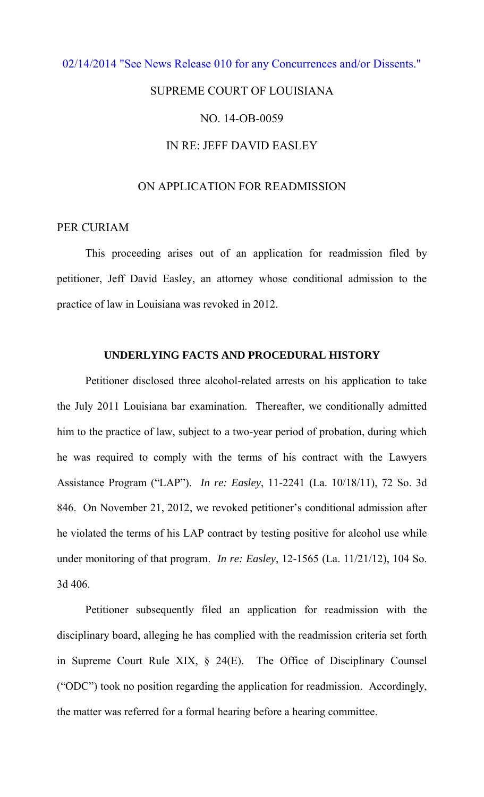### [02/14/2014 "See News Release 010 for any Concurrences and/or Dissents."](http://www.lasc.org/Actions?p=2014-010)

# SUPREME COURT OF LOUISIANA

### NO. 14-OB-0059

## IN RE: JEFF DAVID EASLEY

## ON APPLICATION FOR READMISSION

### PER CURIAM

 This proceeding arises out of an application for readmission filed by petitioner, Jeff David Easley, an attorney whose conditional admission to the practice of law in Louisiana was revoked in 2012.

### **UNDERLYING FACTS AND PROCEDURAL HISTORY**

 Petitioner disclosed three alcohol-related arrests on his application to take the July 2011 Louisiana bar examination. Thereafter, we conditionally admitted him to the practice of law, subject to a two-year period of probation, during which he was required to comply with the terms of his contract with the Lawyers Assistance Program ("LAP"). *In re: Easley*, 11-2241 (La. 10/18/11), 72 So. 3d 846. On November 21, 2012, we revoked petitioner's conditional admission after he violated the terms of his LAP contract by testing positive for alcohol use while under monitoring of that program. *In re: Easley*, 12-1565 (La. 11/21/12), 104 So. 3d 406.

 Petitioner subsequently filed an application for readmission with the disciplinary board, alleging he has complied with the readmission criteria set forth in Supreme Court Rule XIX, § 24(E). The Office of Disciplinary Counsel ("ODC") took no position regarding the application for readmission. Accordingly, the matter was referred for a formal hearing before a hearing committee.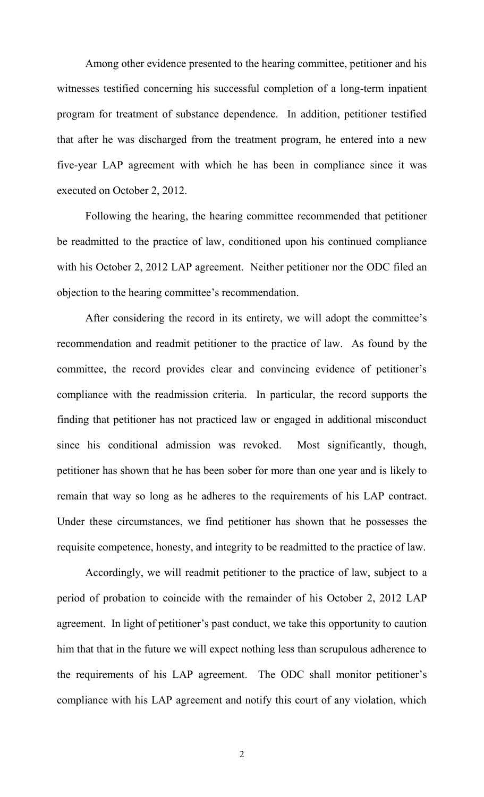Among other evidence presented to the hearing committee, petitioner and his witnesses testified concerning his successful completion of a long-term inpatient program for treatment of substance dependence. In addition, petitioner testified that after he was discharged from the treatment program, he entered into a new five-year LAP agreement with which he has been in compliance since it was executed on October 2, 2012.

Following the hearing, the hearing committee recommended that petitioner be readmitted to the practice of law, conditioned upon his continued compliance with his October 2, 2012 LAP agreement. Neither petitioner nor the ODC filed an objection to the hearing committee's recommendation.

 After considering the record in its entirety, we will adopt the committee's recommendation and readmit petitioner to the practice of law. As found by the committee, the record provides clear and convincing evidence of petitioner's compliance with the readmission criteria. In particular, the record supports the finding that petitioner has not practiced law or engaged in additional misconduct since his conditional admission was revoked. Most significantly, though, petitioner has shown that he has been sober for more than one year and is likely to remain that way so long as he adheres to the requirements of his LAP contract. Under these circumstances, we find petitioner has shown that he possesses the requisite competence, honesty, and integrity to be readmitted to the practice of law.

 Accordingly, we will readmit petitioner to the practice of law, subject to a period of probation to coincide with the remainder of his October 2, 2012 LAP agreement. In light of petitioner's past conduct, we take this opportunity to caution him that that in the future we will expect nothing less than scrupulous adherence to the requirements of his LAP agreement. The ODC shall monitor petitioner's compliance with his LAP agreement and notify this court of any violation, which

2